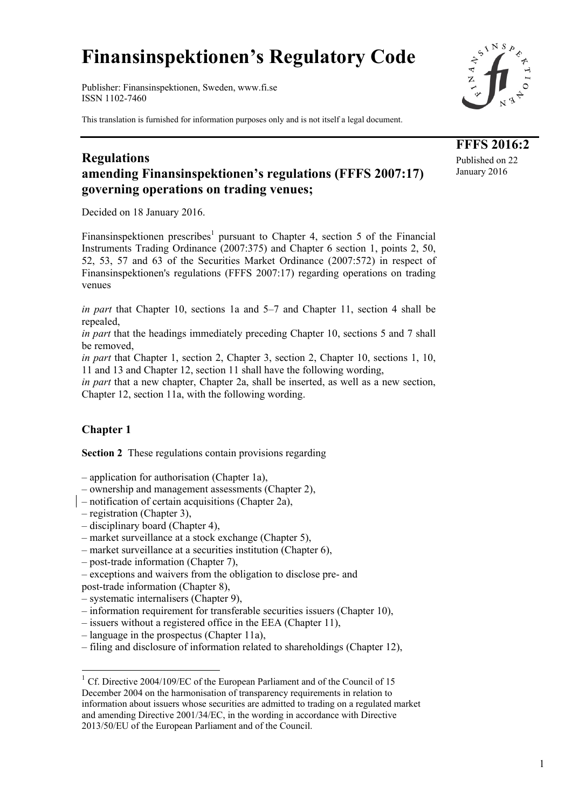# **Finansinspektionen's Regulatory Code**

Publisher: Finansinspektionen, Sweden, www.fi.se ISSN 1102-7460

This translation is furnished for information purposes only and is not itself a legal document.



**FFFS 2016:2**  Published on 22 January 2016

# **Regulations amending Finansinspektionen's regulations (FFFS 2007:17) governing operations on trading venues;**

Decided on 18 January 2016.

Finansinspektionen prescribes<sup>1</sup> pursuant to Chapter 4, section 5 of the Financial Instruments Trading Ordinance (2007:375) and Chapter 6 section 1, points 2, 50, 52, 53, 57 and 63 of the Securities Market Ordinance (2007:572) in respect of Finansinspektionen's regulations (FFFS 2007:17) regarding operations on trading venues

*in part* that Chapter 10, sections 1a and 5–7 and Chapter 11, section 4 shall be repealed,

*in part* that the headings immediately preceding Chapter 10, sections 5 and 7 shall be removed,

*in part* that Chapter 1, section 2, Chapter 3, section 2, Chapter 10, sections 1, 10, 11 and 13 and Chapter 12, section 11 shall have the following wording,

*in part* that a new chapter, Chapter 2a, shall be inserted, as well as a new section, Chapter 12, section 11a, with the following wording.

## **Chapter 1**

-

**Section 2** These regulations contain provisions regarding

– application for authorisation (Chapter 1a),

– ownership and management assessments (Chapter 2),

– notification of certain acquisitions (Chapter 2a),

– registration (Chapter 3),

- disciplinary board (Chapter 4),
- market surveillance at a stock exchange (Chapter 5),

– market surveillance at a securities institution (Chapter 6),

- post-trade information (Chapter 7),
- exceptions and waivers from the obligation to disclose pre- and

post-trade information (Chapter 8),

– systematic internalisers (Chapter 9),

- information requirement for transferable securities issuers (Chapter 10),
- issuers without a registered office in the EEA (Chapter 11),
- language in the prospectus (Chapter 11a),
- filing and disclosure of information related to shareholdings (Chapter 12),

<sup>&</sup>lt;sup>1</sup> Cf. Directive 2004/109/EC of the European Parliament and of the Council of 15 December 2004 on the harmonisation of transparency requirements in relation to information about issuers whose securities are admitted to trading on a regulated market and amending Directive 2001/34/EC, in the wording in accordance with Directive 2013/50/EU of the European Parliament and of the Council.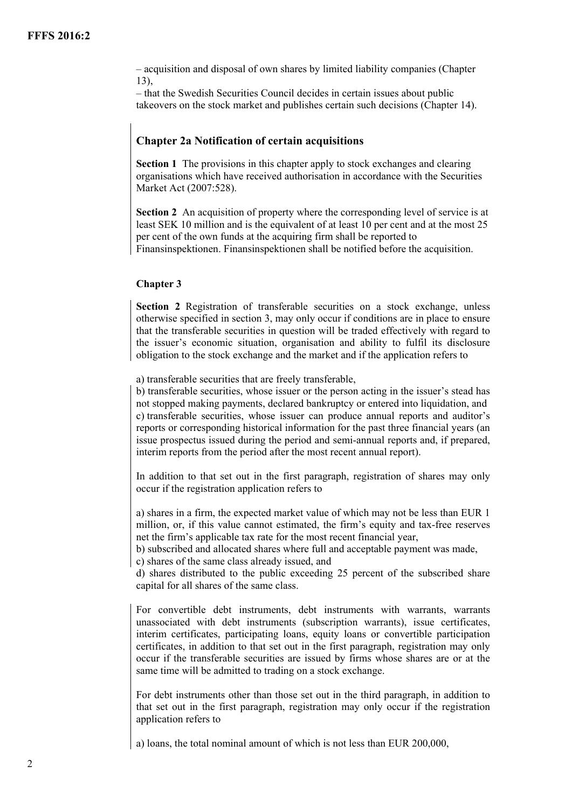– acquisition and disposal of own shares by limited liability companies (Chapter  $13)$ 

– that the Swedish Securities Council decides in certain issues about public takeovers on the stock market and publishes certain such decisions (Chapter 14).

### **Chapter 2a Notification of certain acquisitions**

**Section 1** The provisions in this chapter apply to stock exchanges and clearing organisations which have received authorisation in accordance with the Securities Market Act (2007:528).

**Section 2** An acquisition of property where the corresponding level of service is at least SEK 10 million and is the equivalent of at least 10 per cent and at the most 25 per cent of the own funds at the acquiring firm shall be reported to Finansinspektionen. Finansinspektionen shall be notified before the acquisition.

#### **Chapter 3**

**Section 2** Registration of transferable securities on a stock exchange, unless otherwise specified in section 3, may only occur if conditions are in place to ensure that the transferable securities in question will be traded effectively with regard to the issuer's economic situation, organisation and ability to fulfil its disclosure obligation to the stock exchange and the market and if the application refers to

a) transferable securities that are freely transferable,

b) transferable securities, whose issuer or the person acting in the issuer's stead has not stopped making payments, declared bankruptcy or entered into liquidation, and c) transferable securities, whose issuer can produce annual reports and auditor's reports or corresponding historical information for the past three financial years (an issue prospectus issued during the period and semi-annual reports and, if prepared, interim reports from the period after the most recent annual report).

In addition to that set out in the first paragraph, registration of shares may only occur if the registration application refers to

a) shares in a firm, the expected market value of which may not be less than EUR 1 million, or, if this value cannot estimated, the firm's equity and tax-free reserves net the firm's applicable tax rate for the most recent financial year,

b) subscribed and allocated shares where full and acceptable payment was made,

c) shares of the same class already issued, and

d) shares distributed to the public exceeding 25 percent of the subscribed share capital for all shares of the same class.

For convertible debt instruments, debt instruments with warrants, warrants unassociated with debt instruments (subscription warrants), issue certificates, interim certificates, participating loans, equity loans or convertible participation certificates, in addition to that set out in the first paragraph, registration may only occur if the transferable securities are issued by firms whose shares are or at the same time will be admitted to trading on a stock exchange.

For debt instruments other than those set out in the third paragraph, in addition to that set out in the first paragraph, registration may only occur if the registration application refers to

a) loans, the total nominal amount of which is not less than EUR 200,000,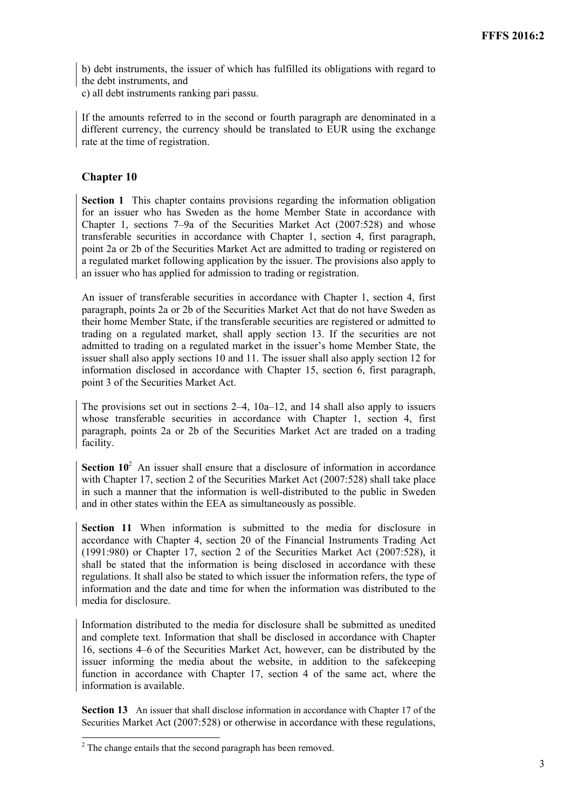b) debt instruments, the issuer of which has fulfilled its obligations with regard to the debt instruments, and

c) all debt instruments ranking pari passu.

If the amounts referred to in the second or fourth paragraph are denominated in a different currency, the currency should be translated to EUR using the exchange rate at the time of registration.

#### **Chapter 10**

**Section 1** This chapter contains provisions regarding the information obligation for an issuer who has Sweden as the home Member State in accordance with Chapter 1, sections 7–9a of the Securities Market Act (2007:528) and whose transferable securities in accordance with Chapter 1, section 4, first paragraph, point 2a or 2b of the Securities Market Act are admitted to trading or registered on a regulated market following application by the issuer. The provisions also apply to an issuer who has applied for admission to trading or registration.

An issuer of transferable securities in accordance with Chapter 1, section 4, first paragraph, points 2a or 2b of the Securities Market Act that do not have Sweden as their home Member State, if the transferable securities are registered or admitted to trading on a regulated market, shall apply section 13. If the securities are not admitted to trading on a regulated market in the issuer's home Member State, the issuer shall also apply sections 10 and 11. The issuer shall also apply section 12 for information disclosed in accordance with Chapter 15, section 6, first paragraph, point 3 of the Securities Market Act.

The provisions set out in sections  $2-4$ ,  $10a-12$ , and 14 shall also apply to issuers whose transferable securities in accordance with Chapter 1, section 4, first paragraph, points 2a or 2b of the Securities Market Act are traded on a trading facility.

**Section**  $10^2$  An issuer shall ensure that a disclosure of information in accordance with Chapter 17, section 2 of the Securities Market Act (2007:528) shall take place in such a manner that the information is well-distributed to the public in Sweden and in other states within the EEA as simultaneously as possible.

**Section 11** When information is submitted to the media for disclosure in accordance with Chapter 4, section 20 of the Financial Instruments Trading Act (1991:980) or Chapter 17, section 2 of the Securities Market Act (2007:528), it shall be stated that the information is being disclosed in accordance with these regulations. It shall also be stated to which issuer the information refers, the type of information and the date and time for when the information was distributed to the media for disclosure.

Information distributed to the media for disclosure shall be submitted as unedited and complete text. Information that shall be disclosed in accordance with Chapter 16, sections 4–6 of the Securities Market Act, however, can be distributed by the issuer informing the media about the website, in addition to the safekeeping function in accordance with Chapter 17, section 4 of the same act, where the information is available.

**Section 13** An issuer that shall disclose information in accordance with Chapter 17 of the Securities Market Act (2007:528) or otherwise in accordance with these regulations,

<sup>&</sup>lt;sup>2</sup> The change entails that the second paragraph has been removed.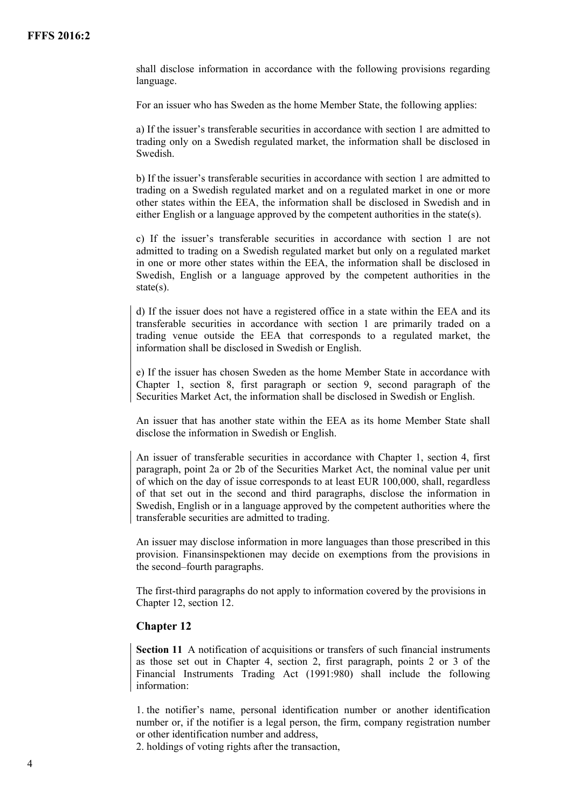shall disclose information in accordance with the following provisions regarding language.

For an issuer who has Sweden as the home Member State, the following applies:

a) If the issuer's transferable securities in accordance with section 1 are admitted to trading only on a Swedish regulated market, the information shall be disclosed in Swedish.

b) If the issuer's transferable securities in accordance with section 1 are admitted to trading on a Swedish regulated market and on a regulated market in one or more other states within the EEA, the information shall be disclosed in Swedish and in either English or a language approved by the competent authorities in the state(s).

c) If the issuer's transferable securities in accordance with section 1 are not admitted to trading on a Swedish regulated market but only on a regulated market in one or more other states within the EEA, the information shall be disclosed in Swedish, English or a language approved by the competent authorities in the state(s).

d) If the issuer does not have a registered office in a state within the EEA and its transferable securities in accordance with section 1 are primarily traded on a trading venue outside the EEA that corresponds to a regulated market, the information shall be disclosed in Swedish or English.

e) If the issuer has chosen Sweden as the home Member State in accordance with Chapter 1, section 8, first paragraph or section 9, second paragraph of the Securities Market Act, the information shall be disclosed in Swedish or English.

An issuer that has another state within the EEA as its home Member State shall disclose the information in Swedish or English.

An issuer of transferable securities in accordance with Chapter 1, section 4, first paragraph, point 2a or 2b of the Securities Market Act, the nominal value per unit of which on the day of issue corresponds to at least EUR 100,000, shall, regardless of that set out in the second and third paragraphs, disclose the information in Swedish, English or in a language approved by the competent authorities where the transferable securities are admitted to trading.

An issuer may disclose information in more languages than those prescribed in this provision. Finansinspektionen may decide on exemptions from the provisions in the second–fourth paragraphs.

The first-third paragraphs do not apply to information covered by the provisions in Chapter 12, section 12.

#### **Chapter 12**

**Section 11** A notification of acquisitions or transfers of such financial instruments as those set out in Chapter 4, section 2, first paragraph, points 2 or 3 of the Financial Instruments Trading Act (1991:980) shall include the following information:

1. the notifier's name, personal identification number or another identification number or, if the notifier is a legal person, the firm, company registration number or other identification number and address,

2. holdings of voting rights after the transaction,